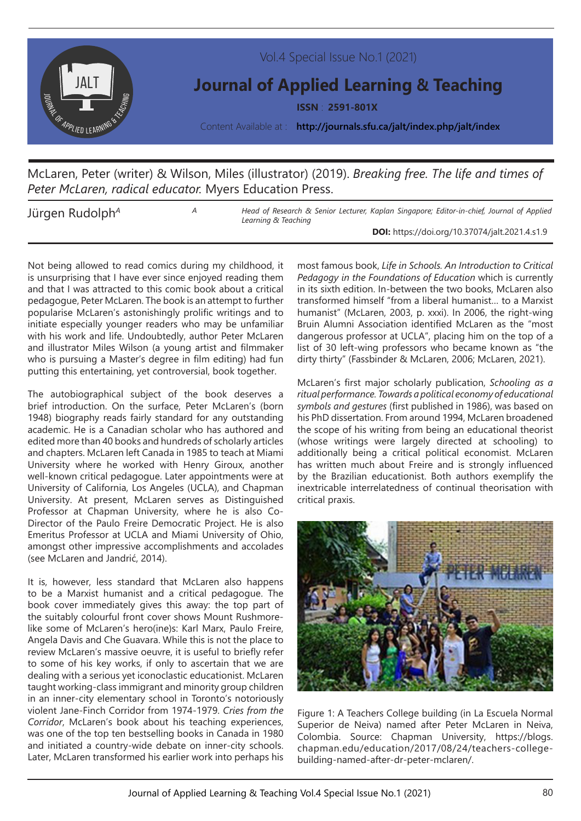

## McLaren, Peter (writer) & Wilson, Miles (illustrator) (2019). *Breaking free. The life and times of Peter McLaren, radical educator.* Myers Education Press.

Jürgen Rudolph<sup>A</sup> *A Head of Research & Senior Lecturer, Kaplan Singapore; Editor-in-chief, Journal of Applied Learning & Teaching*

**DOI:** https://doi.org/10.37074/jalt.2021.4.s1.9

Not being allowed to read comics during my childhood, it is unsurprising that I have ever since enjoyed reading them and that I was attracted to this comic book about a critical pedagogue, Peter McLaren. The book is an attempt to further popularise McLaren's astonishingly prolific writings and to initiate especially younger readers who may be unfamiliar with his work and life. Undoubtedly, author Peter McLaren and illustrator Miles Wilson (a young artist and filmmaker who is pursuing a Master's degree in film editing) had fun putting this entertaining, yet controversial, book together.

The autobiographical subject of the book deserves a brief introduction. On the surface, Peter McLaren's (born 1948) biography reads fairly standard for any outstanding academic. He is a Canadian scholar who has authored and edited more than 40 books and hundreds of scholarly articles and chapters. McLaren left Canada in 1985 to teach at Miami University where he worked with Henry Giroux, another well-known critical pedagogue. Later appointments were at University of California, Los Angeles (UCLA), and Chapman University. At present, McLaren serves as Distinguished Professor at Chapman University, where he is also Co-Director of the Paulo Freire Democratic Project. He is also Emeritus Professor at UCLA and Miami University of Ohio, amongst other impressive accomplishments and accolades (see McLaren and Jandrić, 2014).

It is, however, less standard that McLaren also happens to be a Marxist humanist and a critical pedagogue. The book cover immediately gives this away: the top part of the suitably colourful front cover shows Mount Rushmorelike some of McLaren's hero(ine)s: Karl Marx, Paulo Freire, Angela Davis and Che Guavara. While this is not the place to review McLaren's massive oeuvre, it is useful to briefly refer to some of his key works, if only to ascertain that we are dealing with a serious yet iconoclastic educationist. McLaren taught working-class immigrant and minority group children in an inner-city elementary school in Toronto's notoriously violent Jane-Finch Corridor from 1974-1979. *Cries from the Corridor*, McLaren's book about his teaching experiences, was one of the top ten bestselling books in Canada in 1980 and initiated a country-wide debate on inner-city schools. Later, McLaren transformed his earlier work into perhaps his

most famous book, *Life in Schools. An Introduction to Critical Pedagogy in the Foundations of Education* which is currently in its sixth edition. In-between the two books, McLaren also transformed himself "from a liberal humanist… to a Marxist humanist" (McLaren, 2003, p. xxxi). In 2006, the right-wing Bruin Alumni Association identified McLaren as the "most dangerous professor at UCLA", placing him on the top of a list of 30 left-wing professors who became known as "the dirty thirty" (Fassbinder & McLaren, 2006; McLaren, 2021).

McLaren's first major scholarly publication, *Schooling as a ritual performance. Towards a political economy of educational symbols and gestures* (first published in 1986), was based on his PhD dissertation. From around 1994, McLaren broadened the scope of his writing from being an educational theorist (whose writings were largely directed at schooling) to additionally being a critical political economist. McLaren has written much about Freire and is strongly influenced by the Brazilian educationist. Both authors exemplify the inextricable interrelatedness of continual theorisation with critical praxis.



Figure 1: A Teachers College building (in La Escuela Normal Superior de Neiva) named after Peter McLaren in Neiva, Colombia. Source: Chapman University, https://blogs. chapman.edu/education/2017/08/24/teachers-collegebuilding-named-after-dr-peter-mclaren/.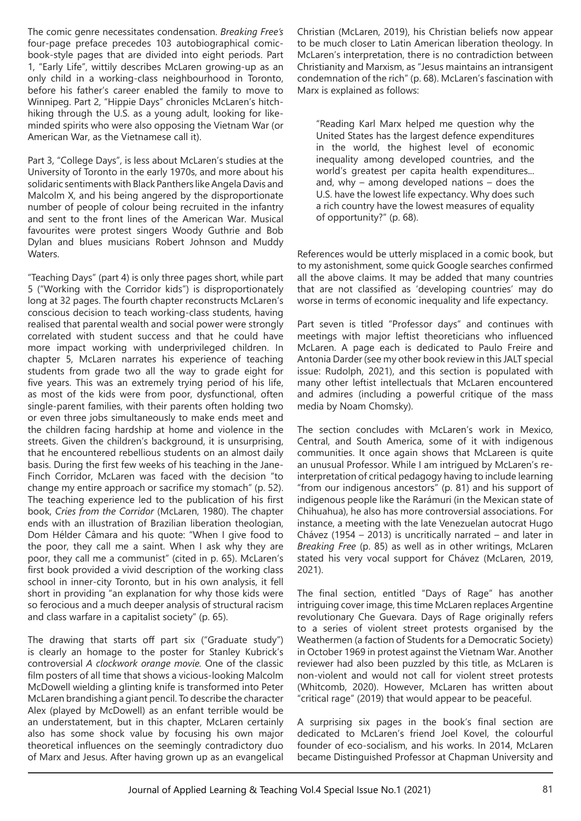The comic genre necessitates condensation. *Breaking Free's*  four-page preface precedes 103 autobiographical comicbook-style pages that are divided into eight periods. Part 1, "Early Life", wittily describes McLaren growing-up as an only child in a working-class neighbourhood in Toronto, before his father's career enabled the family to move to Winnipeg. Part 2, "Hippie Days" chronicles McLaren's hitchhiking through the U.S. as a young adult, looking for likeminded spirits who were also opposing the Vietnam War (or American War, as the Vietnamese call it).

Part 3, "College Days", is less about McLaren's studies at the University of Toronto in the early 1970s, and more about his solidaric sentiments with Black Panthers like Angela Davis and Malcolm X, and his being angered by the disproportionate number of people of colour being recruited in the infantry and sent to the front lines of the American War. Musical favourites were protest singers Woody Guthrie and Bob Dylan and blues musicians Robert Johnson and Muddy Waters.

"Teaching Days" (part 4) is only three pages short, while part 5 ("Working with the Corridor kids") is disproportionately long at 32 pages. The fourth chapter reconstructs McLaren's conscious decision to teach working-class students, having realised that parental wealth and social power were strongly correlated with student success and that he could have more impact working with underprivileged children. In chapter 5, McLaren narrates his experience of teaching students from grade two all the way to grade eight for five years. This was an extremely trying period of his life, as most of the kids were from poor, dysfunctional, often single-parent families, with their parents often holding two or even three jobs simultaneously to make ends meet and the children facing hardship at home and violence in the streets. Given the children's background, it is unsurprising, that he encountered rebellious students on an almost daily basis. During the first few weeks of his teaching in the Jane-Finch Corridor, McLaren was faced with the decision "to change my entire approach or sacrifice my stomach" (p. 52). The teaching experience led to the publication of his first book, *Cries from the Corridor* (McLaren, 1980). The chapter ends with an illustration of Brazilian liberation theologian, Dom Hélder Câmara and his quote: "When I give food to the poor, they call me a saint. When I ask why they are poor, they call me a communist" (cited in p. 65). McLaren's first book provided a vivid description of the working class school in inner-city Toronto, but in his own analysis, it fell short in providing "an explanation for why those kids were so ferocious and a much deeper analysis of structural racism and class warfare in a capitalist society" (p. 65).

The drawing that starts off part six ("Graduate study") is clearly an homage to the poster for Stanley Kubrick's controversial *A clockwork orange movie.* One of the classic film posters of all time that shows a vicious-looking Malcolm McDowell wielding a glinting knife is transformed into Peter McLaren brandishing a giant pencil. To describe the character Alex (played by McDowell) as an enfant terrible would be an understatement, but in this chapter, McLaren certainly also has some shock value by focusing his own major theoretical influences on the seemingly contradictory duo of Marx and Jesus. After having grown up as an evangelical

Christian (McLaren, 2019), his Christian beliefs now appear to be much closer to Latin American liberation theology. In McLaren's interpretation, there is no contradiction between Christianity and Marxism, as "Jesus maintains an intransigent condemnation of the rich" (p. 68). McLaren's fascination with Marx is explained as follows:

"Reading Karl Marx helped me question why the United States has the largest defence expenditures in the world, the highest level of economic inequality among developed countries, and the world's greatest per capita health expenditures... and, why – among developed nations – does the U.S. have the lowest life expectancy. Why does such a rich country have the lowest measures of equality of opportunity?" (p. 68).

References would be utterly misplaced in a comic book, but to my astonishment, some quick Google searches confirmed all the above claims. It may be added that many countries that are not classified as 'developing countries' may do worse in terms of economic inequality and life expectancy.

Part seven is titled "Professor days" and continues with meetings with major leftist theoreticians who influenced McLaren. A page each is dedicated to Paulo Freire and Antonia Darder (see my other book review in this JALT special issue: Rudolph, 2021), and this section is populated with many other leftist intellectuals that McLaren encountered and admires (including a powerful critique of the mass media by Noam Chomsky).

The section concludes with McLaren's work in Mexico, Central, and South America, some of it with indigenous communities. It once again shows that McLareen is quite an unusual Professor. While I am intrigued by McLaren's reinterpretation of critical pedagogy having to include learning "from our indigenous ancestors" (p. 81) and his support of indigenous people like the Rarámuri (in the Mexican state of Chihuahua), he also has more controversial associations. For instance, a meeting with the late Venezuelan autocrat Hugo Chávez (1954 – 2013) is uncritically narrated – and later in *Breaking Free* (p. 85) as well as in other writings, McLaren stated his very vocal support for Chávez (McLaren, 2019, 2021).

The final section, entitled "Days of Rage" has another intriguing cover image, this time McLaren replaces Argentine revolutionary Che Guevara. Days of Rage originally refers to a series of violent street protests organised by the Weathermen (a faction of Students for a Democratic Society) in October 1969 in protest against the Vietnam War. Another reviewer had also been puzzled by this title, as McLaren is non-violent and would not call for violent street protests (Whitcomb, 2020). However, McLaren has written about "critical rage" (2019) that would appear to be peaceful.

A surprising six pages in the book's final section are dedicated to McLaren's friend Joel Kovel, the colourful founder of eco-socialism, and his works. In 2014, McLaren became Distinguished Professor at Chapman University and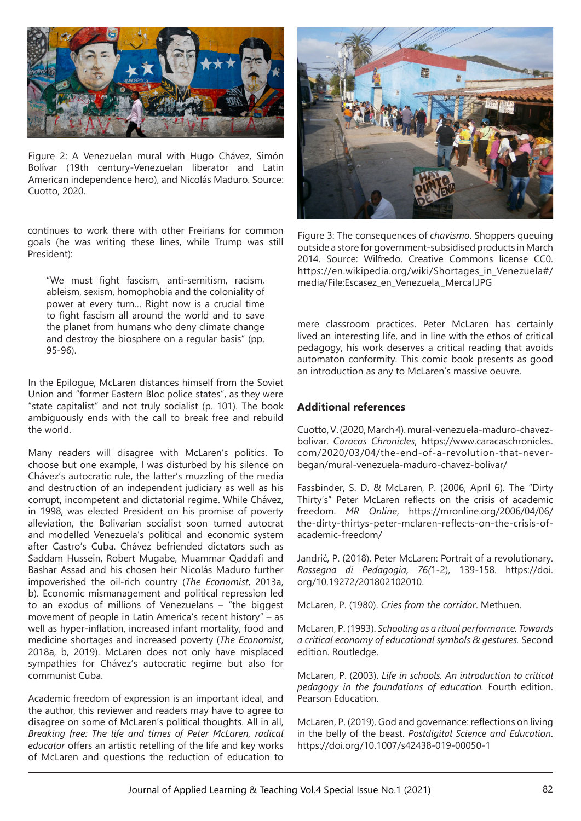

Figure 2: A Venezuelan mural with Hugo Chávez, Simón Bolívar (19th century-Venezuelan liberator and Latin American independence hero), and Nicolás Maduro. Source: Cuotto, 2020.

continues to work there with other Freirians for common goals (he was writing these lines, while Trump was still President):

"We must fight fascism, anti-semitism, racism, ableism, sexism, homophobia and the coloniality of power at every turn… Right now is a crucial time to fight fascism all around the world and to save the planet from humans who deny climate change and destroy the biosphere on a regular basis" (pp. 95-96).

In the Epilogue, McLaren distances himself from the Soviet Union and "former Eastern Bloc police states", as they were "state capitalist" and not truly socialist (p. 101). The book ambiguously ends with the call to break free and rebuild the world.

Many readers will disagree with McLaren's politics. To choose but one example, I was disturbed by his silence on Chávez's autocratic rule, the latter's muzzling of the media and destruction of an independent judiciary as well as his corrupt, incompetent and dictatorial regime. While Chávez, in 1998, was elected President on his promise of poverty alleviation, the Bolivarian socialist soon turned autocrat and modelled Venezuela's political and economic system after Castro's Cuba. Chávez befriended dictators such as Saddam Hussein, Robert Mugabe, Muammar Qaddafi and Bashar Assad and his chosen heir Nicolás Maduro further impoverished the oil-rich country (*The Economist*, 2013a, b). Economic mismanagement and political repression led to an exodus of millions of Venezuelans – "the biggest movement of people in Latin America's recent history" – as well as hyper-inflation, increased infant mortality, food and medicine shortages and increased poverty (*The Economist*, 2018a, b, 2019). McLaren does not only have misplaced sympathies for Chávez's autocratic regime but also for communist Cuba.

Academic freedom of expression is an important ideal, and the author, this reviewer and readers may have to agree to disagree on some of McLaren's political thoughts. All in all, *Breaking free: The life and times of Peter McLaren, radical educator* offers an artistic retelling of the life and key works of McLaren and questions the reduction of education to



Figure 3: The consequences of *chavismo*. Shoppers queuing outside a store for government-subsidised products in March 2014. Source: Wilfredo. Creative Commons license CC0. https://en.wikipedia.org/wiki/Shortages\_in\_Venezuela#/ media/File:Escasez\_en\_Venezuela,\_Mercal.JPG

mere classroom practices. Peter McLaren has certainly lived an interesting life, and in line with the ethos of critical pedagogy, his work deserves a critical reading that avoids automaton conformity. This comic book presents as good an introduction as any to McLaren's massive oeuvre.

## **Additional references**

Cuotto, V. (2020, March 4). mural-venezuela-maduro-chavezbolivar. *Caracas Chronicles*, https://www.caracaschronicles. com/2020/03/04/the-end-of-a-revolution-that-neverbegan/mural-venezuela-maduro-chavez-bolivar/

Fassbinder, S. D. & McLaren, P. (2006, April 6). The "Dirty Thirty's" Peter McLaren reflects on the crisis of academic freedom. *MR Online*, https://mronline.org/2006/04/06/ the-dirty-thirtys-peter-mclaren-reflects-on-the-crisis-ofacademic-freedom/

Jandrić, P. (2018). Peter McLaren: Portrait of a revolutionary. *Rassegna di Pedagogia, 76(*1-2), 139-158. https://doi. org/10.19272/201802102010.

McLaren, P. (1980). *Cries from the corridor*. Methuen.

McLaren, P. (1993). *Schooling as a ritual performance. Towards a critical economy of educational symbols & gestures.* Second edition. Routledge.

McLaren, P. (2003). *Life in schools. An introduction to critical pedagogy in the foundations of education.* Fourth edition. Pearson Education.

McLaren, P. (2019). God and governance: reflections on living in the belly of the beast. *Postdigital Science and Education*. https://doi.org/10.1007/s42438-019-00050-1